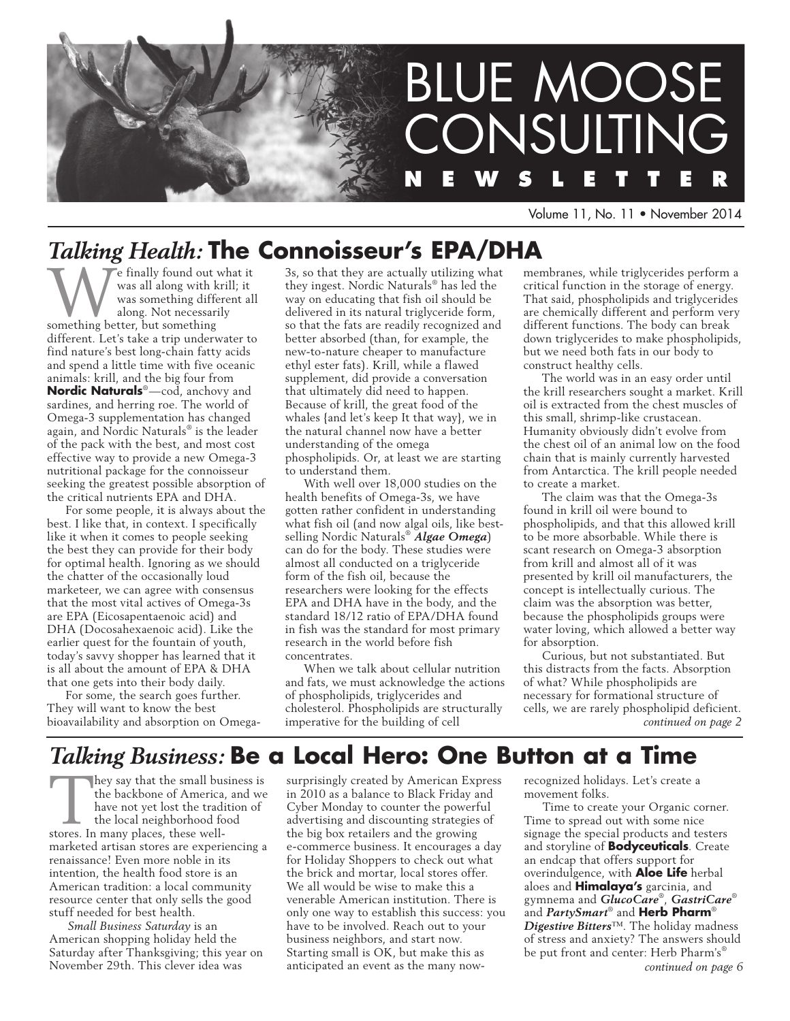

Volume 11, No. 11 • November 2014

# *Talking Health:* **The Connoisseur's EPA/DHA**

We finally found out what it<br>
was all along with krill; it<br>
was something different all<br>
something better, but something was all along with krill; it was something different all along. Not necessarily different. Let's take a trip underwater to find nature's best long-chain fatty acids and spend a little time with five oceanic animals: krill, and the big four from **Nordic Naturals**®—cod, anchovy and sardines, and herring roe. The world of Omega-3 supplementation has changed again, and Nordic Naturals® is the leader of the pack with the best, and most cost effective way to provide a new Omega-3 nutritional package for the connoisseur seeking the greatest possible absorption of the critical nutrients EPA and DHA.

For some people, it is always about the best. I like that, in context. I specifically like it when it comes to people seeking the best they can provide for their body for optimal health. Ignoring as we should the chatter of the occasionally loud marketeer, we can agree with consensus that the most vital actives of Omega-3s are EPA (Eicosapentaenoic acid) and DHA (Docosahexaenoic acid). Like the earlier quest for the fountain of youth, today's savvy shopper has learned that it is all about the amount of EPA & DHA that one gets into their body daily.

For some, the search goes further. They will want to know the best bioavailability and absorption on Omega3s, so that they are actually utilizing what they ingest. Nordic Naturals® has led the way on educating that fish oil should be delivered in its natural triglyceride form, so that the fats are readily recognized and better absorbed (than, for example, the new-to-nature cheaper to manufacture ethyl ester fats). Krill, while a flawed supplement, did provide a conversation that ultimately did need to happen. Because of krill, the great food of the whales {and let's keep It that way}, we in the natural channel now have a better understanding of the omega phospholipids. Or, at least we are starting to understand them.

With well over 18,000 studies on the health benefits of Omega-3s, we have gotten rather confident in understanding what fish oil (and now algal oils, like bestselling Nordic Naturals® *Algae Omega*) can do for the body. These studies were almost all conducted on a triglyceride form of the fish oil, because the researchers were looking for the effects EPA and DHA have in the body, and the standard 18/12 ratio of EPA/DHA found in fish was the standard for most primary research in the world before fish concentrates.

When we talk about cellular nutrition and fats, we must acknowledge the actions of phospholipids, triglycerides and cholesterol. Phospholipids are structurally imperative for the building of cell

membranes, while triglycerides perform a critical function in the storage of energy. That said, phospholipids and triglycerides are chemically different and perform very different functions. The body can break down triglycerides to make phospholipids, but we need both fats in our body to construct healthy cells.

The world was in an easy order until the krill researchers sought a market. Krill oil is extracted from the chest muscles of this small, shrimp-like crustacean. Humanity obviously didn't evolve from the chest oil of an animal low on the food chain that is mainly currently harvested from Antarctica. The krill people needed to create a market.

The claim was that the Omega-3s found in krill oil were bound to phospholipids, and that this allowed krill to be more absorbable. While there is scant research on Omega-3 absorption from krill and almost all of it was presented by krill oil manufacturers, the concept is intellectually curious. The claim was the absorption was better, because the phospholipids groups were water loving, which allowed a better way for absorption.

Curious, but not substantiated. But this distracts from the facts. Absorption of what? While phospholipids are necessary for formational structure of cells, we are rarely phospholipid deficient. *continued on page 2*

# *Talking Business:* **Be a Local Hero: One Button at a Time**

They say that the small business is the backbone of America, and we have not yet lost the tradition of the local neighborhood food stores. In many places, these wellmarketed artisan stores are experiencing a renaissance! Even more noble in its intention, the health food store is an American tradition: a local community resource center that only sells the good stuff needed for best health.

*Small Business Saturday* is an American shopping holiday held the Saturday after Thanksgiving; this year on November 29th. This clever idea was

surprisingly created by American Express in 2010 as a balance to Black Friday and Cyber Monday to counter the powerful advertising and discounting strategies of the big box retailers and the growing e-commerce business. It encourages a day for Holiday Shoppers to check out what the brick and mortar, local stores offer. We all would be wise to make this a venerable American institution. There is only one way to establish this success: you have to be involved. Reach out to your business neighbors, and start now. Starting small is OK, but make this as anticipated an event as the many now-

recognized holidays. Let's create a movement folks.

Time to create your Organic corner. Time to spread out with some nice signage the special products and testers and storyline of **Bodyceuticals**. Create an endcap that offers support for overindulgence, with **Aloe Life** herbal aloes and **Himalaya's** garcinia, and gymnema and *GlucoCare*®, *GastriCare*® and *PartySmart*® and **Herb Pharm**® *Digestive Bitters*™. The holiday madness of stress and anxiety? The answers should be put front and center: Herb Pharm's®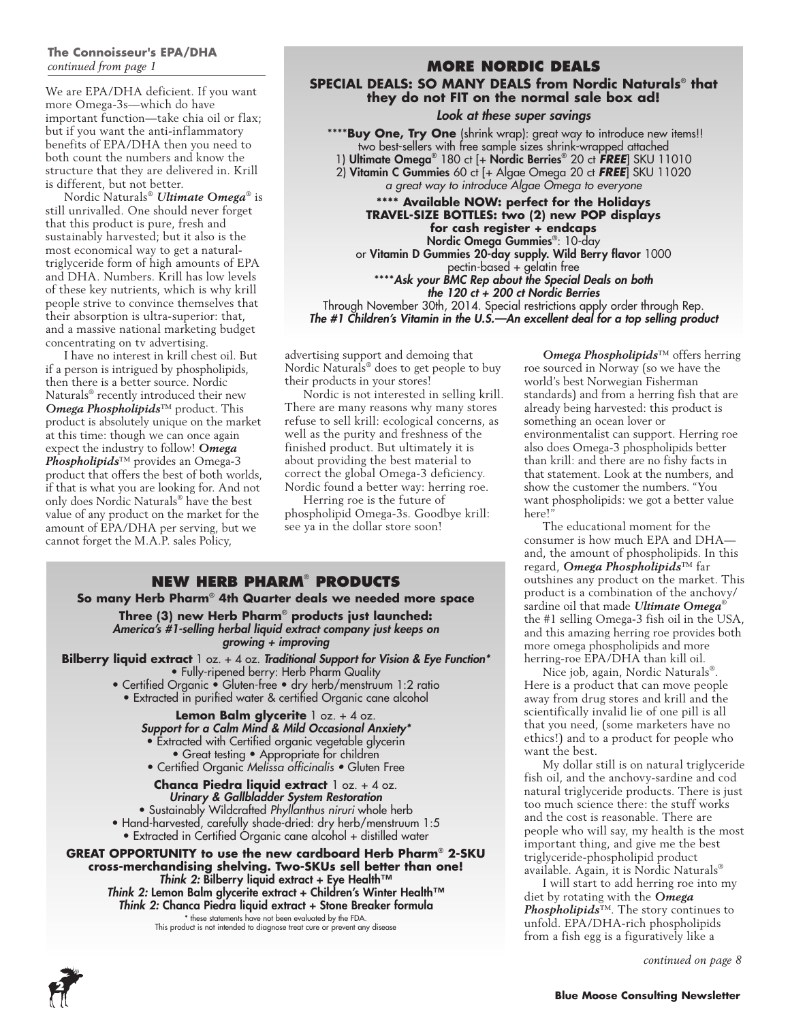## **The Connoisseur's EPA/DHA** *continued from page 1*

We are EPA/DHA deficient. If you want more Omega-3s—which do have important function—take chia oil or flax; but if you want the anti-inflammatory benefits of EPA/DHA then you need to both count the numbers and know the structure that they are delivered in. Krill is different, but not better.

Nordic Naturals® *Ultimate Omega*® is still unrivalled. One should never forget that this product is pure, fresh and sustainably harvested; but it also is the most economical way to get a naturaltriglyceride form of high amounts of EPA and DHA. Numbers. Krill has low levels of these key nutrients, which is why krill people strive to convince themselves that their absorption is ultra-superior: that, and a massive national marketing budget concentrating on tv advertising.

I have no interest in krill chest oil. But if a person is intrigued by phospholipids, then there is a better source. Nordic Naturals® recently introduced their new *Omega Phospholipids*™ product. This product is absolutely unique on the market at this time: though we can once again expect the industry to follow! *Omega Phospholipids*™ provides an Omega-3 product that offers the best of both worlds, if that is what you are looking for. And not only does Nordic Naturals® have the best value of any product on the market for the amount of EPA/DHA per serving, but we cannot forget the M.A.P. sales Policy,

## **MORE NORDIC DEALS SPECIAL DEALS: SO MANY DEALS from Nordic Naturals**® **that they do not FIT on the normal sale box ad!**

### *Look at these super savings*

\*\*\*\***Buy One, Try One** (shrink wrap): great way to introduce new items!! two best-sellers with free sample sizes shrink-wrapped attached 1) Ultimate Omega® 180 ct [+ Nordic Berries® 20 ct *free*] SKU 11010 2) Vitamin C Gummies 60 ct [+ Algae Omega 20 ct *free*] SKU 11020 *a great way to introduce Algae Omega to everyone*

**\*\*\*\* Available NOW: perfect for the Holidays TRAVEL-SIZE BOTTLES: two (2) new POP displays for cash register + endcaps** Nordic Omega Gummies®: 10-day or Vitamin D Gummies 20-day supply. Wild Berry flavor 1000 pectin-based + gelatin free \*\*\*\**Ask your BMC Rep about the Special Deals on both the 120 ct + 200 ct Nordic Berries* Through November 30th, 2014. Special restrictions apply order through Rep.

*The #1 Children's Vitamin in the U.S.—An excellent deal for a top selling product*

advertising support and demoing that Nordic Naturals® does to get people to buy their products in your stores!

Nordic is not interested in selling krill. There are many reasons why many stores refuse to sell krill: ecological concerns, as well as the purity and freshness of the finished product. But ultimately it is about providing the best material to correct the global Omega-3 deficiency. Nordic found a better way: herring roe.

Herring roe is the future of phospholipid Omega-3s. Goodbye krill: see ya in the dollar store soon!

## **NEW HERB PHARM® PRODUCT So many Herb Pharm**®  **4th Quarter deals we needed more space Three (3) new Herb Pharm**®  **products just launched:** *America's #1-selling herbal liquid extract company just keeps on growing + improving* **Bilberry liquid extract** 1 oz. + 4 oz. *Traditional Support for Vision & Eye Function\** • Fully-ripened berry: Herb Pharm Quality • Certified Organic • Gluten-free • dry herb/menstruum 1:2 ratio • Extracted in purified water & certified Organic cane alcohol **Lemon Balm glycerite** 1 oz. + 4 oz. *Support for a Calm Mind & Mild Occasional Anxiety\** • Extracted with Certified organic vegetable glycerin • Great testing • Appropriate for children

• Certified Organic Melissa officinalis • Gluten Free

**Chanca Piedra liquid extract** 1 oz. + 4 oz. *Urinary & Gallbladder System Restoration* • Sustainably Wildcrafted *Phyllanthus niruri* whole herb • Hand-harvested, carefully shade-dried: dry herb/menstruum 1:5 • Extracted in Certified Organic cane alcohol + distilled water

**GREAT OPPORTUNITY to use the new cardboard Herb Pharm**®  **2-SKU cross-merchandising shelving. Two-SKUs sell better than one!** *Think 2:* Bilberry liquid extract + Eye Health™ *Think 2:* Lemon Balm glycerite extract + Children's Winter Health™ *Think 2:* Chanca Piedra liquid extract + Stone Breaker formula \* these statements have not been evaluated by the FDA. This product is not intended to diagnose treat cure or prevent any disease

*Omega Phospholipids*™ offers herring roe sourced in Norway (so we have the world's best Norwegian Fisherman standards) and from a herring fish that are already being harvested: this product is something an ocean lover or environmentalist can support. Herring roe also does Omega-3 phospholipids better than krill: and there are no fishy facts in that statement. Look at the numbers, and show the customer the numbers. "You want phospholipids: we got a better value here!'

The educational moment for the consumer is how much EPA and DHA and, the amount of phospholipids. In this regard, *Omega Phospholipids*™ far outshines any product on the market. This product is a combination of the anchovy/ sardine oil that made *Ultimate Omega*® the #1 selling Omega-3 fish oil in the USA, and this amazing herring roe provides both more omega phospholipids and more herring-roe EPA/DHA than kill oil.

Nice job, again, Nordic Naturals®. Here is a product that can move people away from drug stores and krill and the scientifically invalid lie of one pill is all that you need, (some marketers have no ethics!) and to a product for people who want the best.

My dollar still is on natural triglyceride fish oil, and the anchovy-sardine and cod natural triglyceride products. There is just too much science there: the stuff works and the cost is reasonable. There are people who will say, my health is the most important thing, and give me the best triglyceride-phospholipid product available. Again, it is Nordic Naturals®

I will start to add herring roe into my diet by rotating with the *Omega Phospholipids*™. The story continues to unfold. EPA/DHA-rich phospholipids from a fish egg is a figuratively like a

*continued on page 8*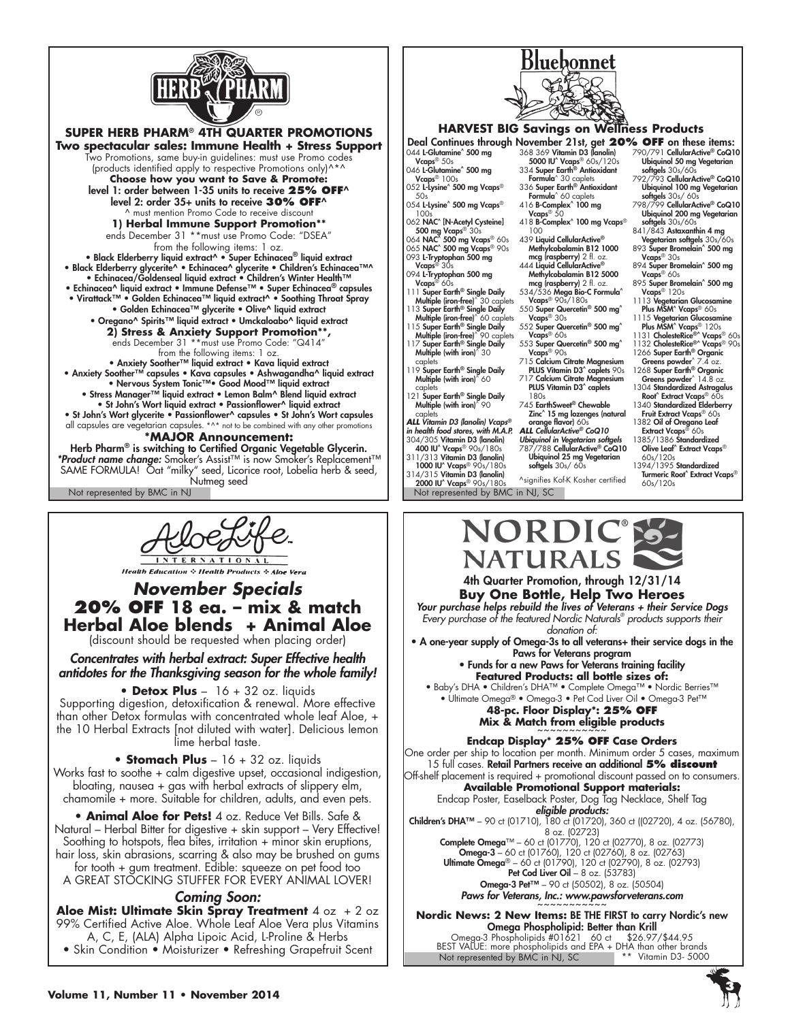

**SUPER HERB PHARM**® **4TH QUARTER PROMOTIONS Two spectacular sales: Immune Health + Stress Support** Two Promotions, same buy-in guidelines: must use Promo codes (products identified apply to respective Promotions only)^\*^ **Choose how you want to Save & Promote:** level 1: order between 1-35 units to receive **25% OFF**^ level 2: order 35+ units to receive **30% OFF**^ ^ must mention Promo Code to receive discount **1) Herbal Immune Support Promotion\*\*** ends December 31 \*\*must use Promo Code: "DSEA" from the following items: 1 oz. • Black Elderberry liquid extract^ • Super Echinacea® liquid extract • Black Elderberry glycerite^ • Echinacea^ glycerite • Children's Echinacea™^ • Echinacea/Goldenseal liquid extract • Children's Winter Health™ • Echinacea^ liquid extract • Immune Defense™ • Super Echinacea® capsules • Virattack™ • Golden Echinacea™ liquid extract^ • Soothing Throat Spray • Golden Echinacea™ glycerite • Olive^ liquid extract • Oregano^ Spirits™ liquid extract • Umckaloabo^ liquid extract **2) Stress & Anxiety Support Promotion\*\*,** ends December 31 \*\*must use Promo Code: "Q414" from the following items: 1 oz.<br>• Anxiety Soother™ liquid extract • Kava liquid extract • Anxiety Soother™ capsules • Kava capsules • Ashwagandha^ liquid extract • Nervous System Tonic™• Good Mood™ liquid extract • Stress Manager™ liquid extract • Lemon Balm^ Blend liquid extract • St John's Wort liquid extract • Passionflower^ liquid extract • St John's Wort glycerite • Passionflower^ capsules • St John's Wort capsules all capsules are vegetarian capsules. \*^\* not to be combined with any other promotions

## **\*MAJOR Announcement:**

Not represented by BMC in NJ Not represented by BMC in NJ, SC Herb Pharm<sup>®</sup> is switching to Certified Organic Vegetable Glycerin. *\*Product name change:* Smoker's Assist™ is now Smoker's Replacement™ SAME FORMULA! Oat "milky" seed, Licorice root, Lobelia herb & seed, Nutmeg seed

**TERNATIONAL** 

**Health Education & Health Products & Aloe Vera** 

## *November Specials* **20% OFF 18 ea. – mix & match Herbal Aloe blends + Animal Aloe**

(discount should be requested when placing order)

*Concentrates with herbal extract: Super Effective health antidotes for the Thanksgiving season for the whole family!*

**• Detox Plus** – 16 + 32 oz. liquids Supporting digestion, detoxification & renewal. More effective than other Detox formulas with concentrated whole leaf Aloe, + the 10 Herbal Extracts [not diluted with water]. Delicious lemon lime herbal taste.

**• Stomach Plus** – 16 + 32 oz. liquids Works fast to soothe + calm digestive upset, occasional indigestion, bloating, nausea + gas with herbal extracts of slippery elm, chamomile + more. Suitable for children, adults, and even pets.

**• Animal Aloe for Pets!** 4 oz. Reduce Vet Bills. Safe & Natural – Herbal Bitter for digestive + skin support – Very Effective! Soothing to hotspots, flea bites, irritation + minor skin eruptions, hair loss, skin abrasions, scarring & also may be brushed on gums

for tooth + gum treatment. Edible: squeeze on pet food too A GREAT STOCKING STUFFER FOR EVERY ANIMAL LOVER!

### *Coming Soon:*

**Aloe Mist: Ultimate Skin Spray Treatment** 4 oz + 2 oz 99% Certified Active Aloe. Whole Leaf Aloe Vera plus Vitamins A, C, E, (ALA) Alpha Lipoic Acid, L-Proline & Herbs • Skin Condition • Moisturizer • Refreshing Grapefruit Scent



## **HARVEST BIG Savings on Wellness Products**

044 L-Glutamine<sup>^</sup> 500 mg

- Vcaps<sup>® 50s</sup> 046 L-Glutamine<sup>^</sup> 500 mg
- Vcaps® 100s 052 L-Lysine^ 500 mg Vcaps®
- $50<sub>e</sub>$ 054 L-Lysine<sup>^</sup> 500 mg Vcaps<sup>®</sup>

 $100<sub>5</sub>$ 062 NAC^ [N-Acetyl Cysteine]

**500 mg Vcaps®** 30s<br>064 **NAC^ 500 mg Vcaps®** 60s<br>065 **NAC^ 500 mg Vcaps®** 90s

093 L-Tryptophan 500 mg Vcaps® 30s

- 094 **L-Tryptophan 500 mg**<br>Vcaps® 60s
- 111 Super Earth® Single Daily Multiple (iron-free)^ 30 caplets 113 Super Earth® Single Daily

Multiple (iron-free)^ 60 caplets 115 Super Earth® Single Daily<br>Multiple (iron-free)^ 90 caplets

- Multiple (iron-free)^ 90 caplets<br>117 Super Earth® Single Daily<br>Multiple (with iron)^ 30
- caplets 119 Super Earth® Single Daily Multiple (with iron)^ 60
- caplets 121 Super Earth® Single Daily Multiple (with iron)^ 90

caplets *ALL Vitamin D3 (lanolin) Vcaps® in health food stores, with M.A.P.* 304/305 Vitamin D3 (lanolin)

400 IU^ Vcaps® 90s/180s 311/313 Vitamin D3 (lanolin) 1000 IU^ Vcaps® 90s/180s

314/315 Vitamin D3 (lanolin) 2000 IU^ Vcaps® 90s/180s

368 369 Vitamin D3 (lanolin) 5000 IU^ Vcaps® 60s/120s 334 Super Earth® Antioxidant Formula^ 30 caplets 336 Super Earth® Antioxidant

- Formula^ 60 caplets<br>416 **B-Complex^ 100 mg**<br>Vcaps® 50
- 418 B-Complex<sup>^</sup> 100 mg Vcaps® 100
- 439 Liquid CellularActive® Methylcobalamin B12 1000
- mcg (raspberry) 2 fl. oz. 444 Liquid CellularActive®
- Methylcobalamin B12 5000 mcg (raspberry) 2 fl. oz. 534/536 Mega Bio-C Formula^
- Vcaps® 90s/180s 550 Super Quercetin® 500 mg^
- Vcaps® 30s 552 Super Quercetin® 500 mg^
- Vcaps® 60s 553 Super Quercetin<sup>®</sup> 500 mg<sup>^</sup>
- Vcaps® 90s 715 Calcium Citrate Magnesium PLUS Vitamin D3^ caplets 90s
- 717 Calcium Citrate Magnesium PLUS Vitamin D3<sup>^</sup> caplets
- 180s 745 EarthSweet® Chewable
- Zinc^ 15 mg lozenges (natural

orange flavor) 60s *ALL CellularActive® CoQ10 Ubiquinol in Vegetarian softgels* 787/788 CellularActive® CoQ10

**Ubiquinol 25 mg Vegetarian**<br>**softgels** 30s/ 60s ^signifies Kof-K Kosher certified

- 790/791 CellularActive® CoQ10 Ubiquinol 50 mg Vegetarian
- softgels 30s/60s 792/793 CellularActive® CoQ10 Ubiquinol 100 mg Vegetarian
- softgels 30s/ 60s 798/799 CellularActive® CoQ10 Ubiquinol 200 mg Vegetarian
- softgels 30s/60s 841/843 Astaxanthin 4 mg
- Vegetarian softgels 30s/60s 893 Super Bromelain^ 500 mg Vcaps® 30s
- 894 Super Bromelain^ 500 mg Vcaps® 60s
- 895 Super Bromelain^ 500 mg Vcaps® 120s
- 1113 Vegetarian Glucosamine
- Plus MSM^ Vcaps® 60s<br>
1115 Vegetarian Glucosamine<br>
Plus MSM^ Vcaps® 120s<br>
1131 CholesteRice®^ Vcaps® 60s<br>
1132 CholesteRice®^ Vcaps® 90s
- 
- 1266 Super Earth® Organic Greens powder^ 7.4 oz. 1268 Super Earth® Organic
- Greens powder^ 14.8 oz.<br>1304 Standardized Astragalus
- Root^ Extract Vcaps® 60s 1340 Standardized Elderberry
- Fruit Extract Vcaps<sup>®</sup> 60s
- 1382 Oil of Oregano Leaf Extract Vcaps® 60s 1385/1386 Standardized Olive Leaf<sup>^</sup> Extract Vcaps®
- 60s/120s 1394/1395 Standardized
- Turmeric Root^ Extract Vcaps®<br>60s/120s



#### *Your purchase helps rebuild the lives of Veterans + their Service Dogs Every purchase of the featured Nordic Naturals® products supports their donation of:* • A one-year supply of Omega-3s to all veterans+ their service dogs in the Paws for Veterans program • Funds for a new Paws for Veterans training facility **Featured Products: all bottle sizes of:** • Baby's DHA • Children's DHA™ • Complete Omega™ • Nordic Berries™ • Ultimate Omega® • Omega-3 • Pet Cod Liver Oil • Omega-3 Pet™ **48-pc. Floor Display\*: 25% OFF Mix & Match from eligible products Endcap Display\* 25% OFF Case Orders** One order per ship to location per month. Minimum order 5 cases, maximum 15 full cases. Retail Partners receive an additional **5% discount** Off-shelf placement is required + promotional discount passed on to consumers. **Available Promotional Support materials:** Endcap Poster, Easelback Poster, Dog Tag Necklace, Shelf Tag **eligible products:**<br>Children's DHA™ – 90 ct (01710), 180 ct (01720), 360 ct ((02720), 4 oz. (56780), 8 oz. (02723) Complete Omega™ – 60 ct (01770), 120 ct (02770), 8 oz. (02773) Omega-3 – 60 ct (01760), 120 ct (02760), 8 oz. (02763) Ultimate Omega® – 60 ct (01790), 120 ct (02790), 8 oz. (02793) Pet Cod Liver Oil – 8 oz. (53783) Omega-3 Pet™ – 90 ct (50502), 8 oz. (50504)

*Paws for Veterans, Inc.: www.pawsforveterans.com* 

Not represented by BMC in NJ, SC **Nordic News: 2 New Items:** BE THE FIRST to carry Nordic's new Omega Phospholipid: Better than Krill Omega-3 Phospholipids #01621 60 ct \$26.97/\$44.95 BEST VALUE: more phospholipids and EPA + DHA than other brands Not represented by BMC in NJ, SC \*\* Vitamin D3- 5000

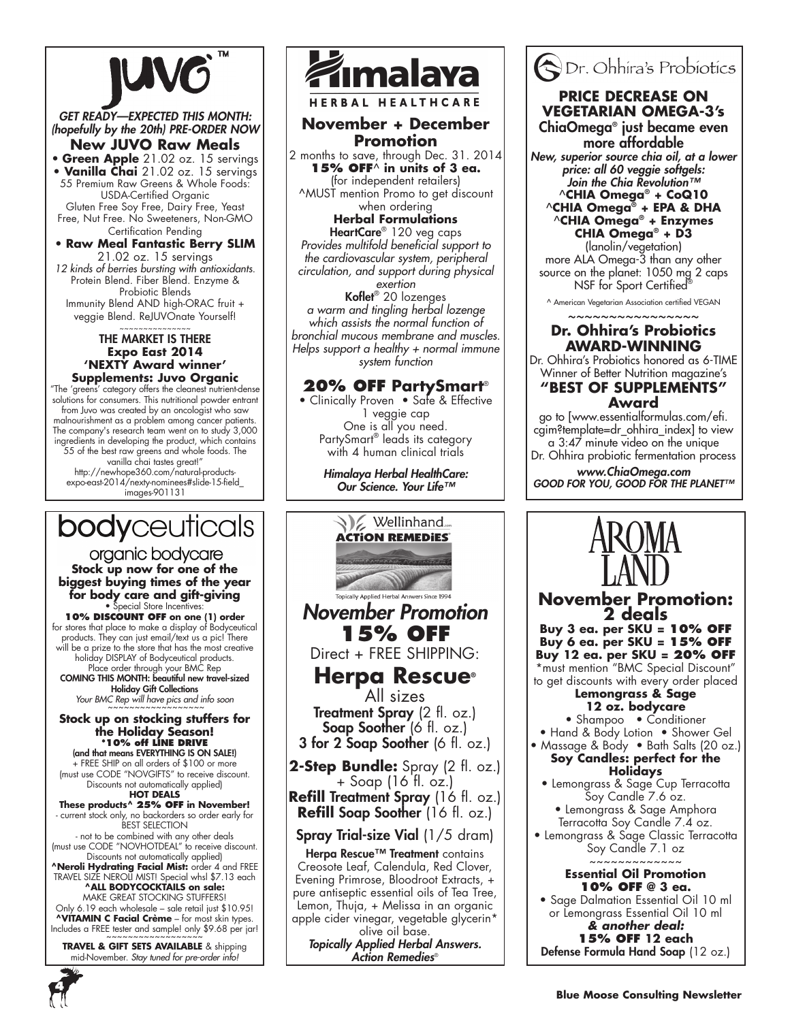

*GET READY—EXPECTED THIS MONTH: (hopefully by the 20th) PRE-ORDER NOW* **New JUVO Raw Meals**

• **Green Apple** 21.02 oz. 15 servings • **Vanilla Chai** 21.02 oz. 15 servings 55 Premium Raw Greens & Whole Foods: USDA-Certified Organic Gluten Free Soy Free, Dairy Free, Yeast Free, Nut Free. No Sweeteners, Non-GMO Certification Pending

# • **Raw Meal Fantastic Berry SLIM**

21.02 oz. 15 servings *12 kinds of berries bursting with antioxidants*. Protein Blend. Fiber Blend. Enzyme & Probiotic Blends Immunity Blend AND high-ORAC fruit + veggie Blend. ReJUVOnate Yourself!

#### ~~~~~~~~~~~~~~~ the market is there **Expo East 2014 'NEXTY Award winner' Supplements: Juvo Organic**

"The 'greens' category offers the cleanest nutrient-dense solutions for consumers. This nutritional powder entrant from Juvo was created by an oncologist who saw malnourishment as a problem among cancer patients. The company's research team went on to study 3,000 ingredients in developing the product, which contains 55 of the best raw greens and whole foods. The vanilla chai tastes great!" http://newhope360.com/natural-productsexpo-east-2014/nexty-nominees#slide-15-field\_ images-901131

# **body**ceuticals

organic bodycare **Stock up now for one of the biggest buying times of the year for body care and gift-giving** pecial Store Incentives:

**10% discount off on one (1) order** for stores that place to make a display of Bodyceutical products. They can just email/text us a pic! There will be a prize to the store that has the most creative holiday DISPLAY of Bodyceutical products. Place order through your BMC Rep COMING THIS MONTH: beautiful new travel-sized

Holiday Gift Collections Your BMC Rep will have pics and info soon

### **Stock up on stocking stuffers for the Holiday Season! \*10% off LINE DRIVE**

(and that means EVERYTHING IS ON SALE!) .<br>+ FREE SHIP on all orders of \$100 or more (must use CODE "NOVGIFTS" to receive discount. Discounts not automatically applied)<br>**HOT DEALS** 

#### **These products^ 25% OFF in November!**  - current stock only, no backorders so order early for

BEST SELECTIO - not to be combined with any other deals

(must use CODE "NOVHOTDEAL" to receive discount. Discounts not automatically applied) **^Neroli Hydrating Facial Mist:** order 4 and FREE

TRAVEL SIZE NEROLI MIST! Special whsl \$7.13 each **^ALL BODYCOCKTAILS on sale:** MAKE GREAT STOCKING STUFFERS!

Only 6.19 each wholesale – sale retail just \$10.95! **^VITAMIN C Facial Crème** – for most skin types. Includes a FREE tester and sample! only \$9.68 per jar!

**TRAVEL & GIFT SETS AVAILABLE** & shipping mid-November. *Stay tuned for pre-order info!*



**HERBAL HEALTHCARE** 

## **November + December Promotion**

2 months to save, through Dec. 31. 2014 **15% OFF**^ **in units of 3 ea.**  (for independent retailers) ^MUST mention Promo to get discount when ordering

## **Herbal Formulations**

HeartCare® 120 veg caps *Provides multifold beneficial support to the cardiovascular system, peripheral circulation, and support during physical exertion* Koflet® 20 lozenges

*a warm and tingling herbal lozenge which assists the normal function of bronchial mucous membrane and muscles. Helps support a healthy + normal immune system function*

## **20% OFF PartySmart**®

• Clinically Proven • Safe & Effective 1 veggie cap One is all you need. PartySmart® leads its category with 4 human clinical trials

> *Himalaya Herbal HealthCare: Our Science. Your Life™*



olive oil base. *Topically Applied Herbal Answers. Action Remedies*®



## **PRICE DECREASE ON VEGETARIAN OMEGA-3's**

ChiaOmega® just became even more affordable

*New, superior source chia oil, at a lower price: all 60 veggie softgels: Join the Chia Revolution™* ^**CHIA Omega® + CoQ10** ^**CHIA Omega® + EPA & DHA** ^**CHIA Omega® + Enzymes CHIA Omega® + D3**

(lanolin/vegetation) more ALA Omega-3 than any other source on the planet: 1050 mg 2 caps NSF for Sport Certified

^ American Vegetarian Association certified VEGAN

## ~~~~~~~~~~~~~~~~ **Dr. Ohhira's Probiotics AWARD-WINNING**

Dr. Ohhira's Probiotics honored as 6-TIME Winner of Better Nutrition magazine's

## **"BEST OF SUPPLEMENTS" Award**

go to [www.essentialformulas.com/efi. cgim?template=dr\_ohhira\_index] to view a 3:47 minute video on the unique Dr. Ohhira probiotic fermentation process

*www.ChiaOmega.com GOOD FOR YOU, GOOD FOR THE PLANET™*



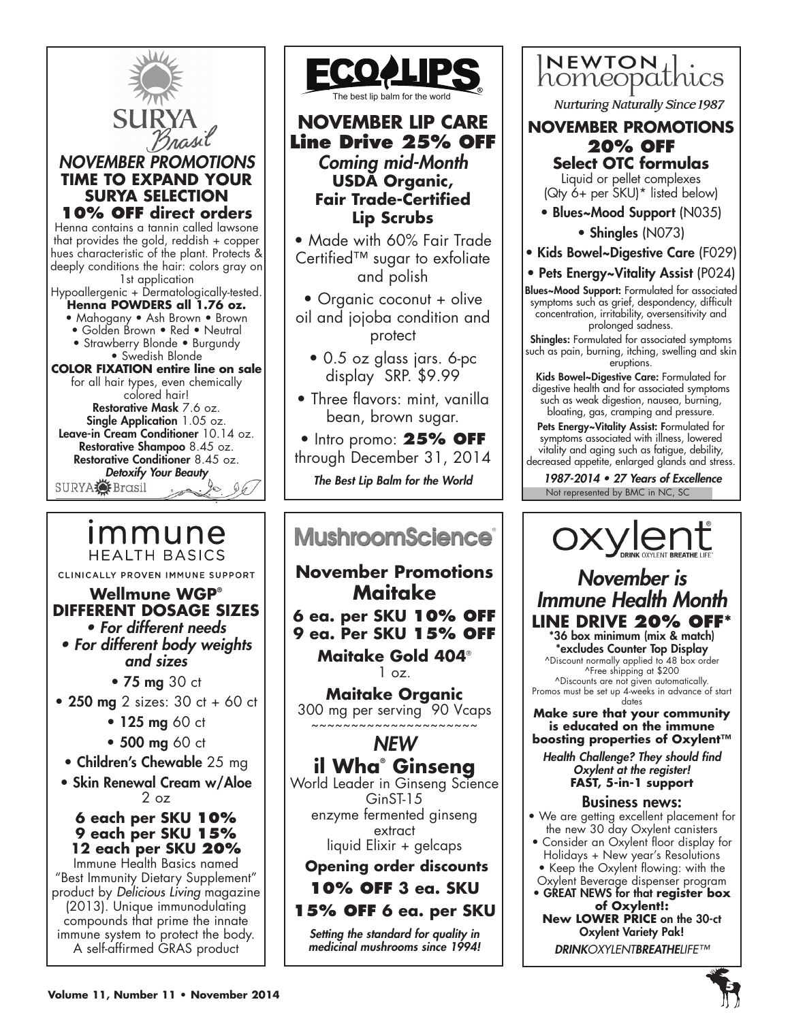



# **NOVEMBER LIP CARE Line Drive 25% OFF** *Coming mid-Month* **USDA Organic, Fair Trade-Certified Lip Scrubs**

• Made with 60% Fair Trade Certified™ sugar to exfoliate and polish

• Organic coconut + olive oil and jojoba condition and protect

• 0.5 oz glass jars. 6-pc display SRP. \$9.99

• Three flavors: mint, vanilla bean, brown sugar.

• Intro promo: **25% OFF** through December 31, 2014

*The Best Lip Balm for the World*

# **MushroomScience**®

**November Promotions Maitake 6 ea. per SKU 10% OFF 9 ea. Per SKU 15% OFF**

**Maitake Gold 404**®  $1 oz.$ 

**Maitake Organic** 300 mg per serving 90 Vcaps ~~~~~~~~~~~~~~~~~~~~~

## *NEW*

**il Wha® Ginseng** World Leader in Ginseng Science GinST-15 enzyme fermented ginseng extract liquid Elixir + gelcaps

**Opening order discounts 10% OFF 3 ea. SKU**

## **15% OFF 6 ea. per SKU**

*Setting the standard for quality in medicinal mushrooms since 1994!*

**NEWTON** homeopathics

**Nurturing Naturally Since 1987** 

**NOVEMber PROMOTIONS 20% OFF Select OTC formulas** 

Liquid or pellet complexes (Qty 6+ per SKU)\* listed below)

- Blues~Mood Support (N035)
	- Shingles (N073)
- Kids Bowel~Digestive Care (F029)
- Pets Energy~Vitality Assist (P024)

Blues~Mood Support: Formulated for associated symptoms such as grief, despondency, difficult concentration, irritability, oversensitivity and prolonged sadness.

Shingles: Formulated for associated symptoms such as pain, burning, itching, swelling and skin eruptions.

Kids Bowel~Digestive Care: Formulated for digestive health and for associated symptoms such as weak digestion, nausea, burning, bloating, gas, cramping and pressure.

Pets Energy~Vitality Assist: Formulated for symptoms associated with illness, lowered vitality and aging such as fatigue, debility, decreased appetite, enlarged glands and stress.

Not represented by BMC in NC, SC 1987-2014 • 27 Years of Excellence



# *November is Immune Health Month* **LINE DRIVE 20% OFF\*** \*36 box minimum (mix & match)

\*excludes Counter Top Display ^Discount normally applied to 48 box order ^Free shipping at \$200 ^Discounts are not given automatically. Promos must be set up 4-weeks in advance of start

dates **Make sure that your community is educated on the immune boosting properties of Oxylent™**

*Health Challenge? They should find Oxylent at the register!* **FAST, 5-in-1 support**

## Business news:

- We are getting excellent placement for the new 30 day Oxylent canisters
- Consider an Oxylent floor display for Holidays + New year's Resolutions • Keep the Oxylent flowing: with the
- Oxylent Beverage dispenser program • GREAT NEWS for that **register box** 
	- **of Oxylent!: New LOWER PRICE** on the 30-ct Oxylent Variety Pak! *DRINKOXYLENTBREATHELIFE™*

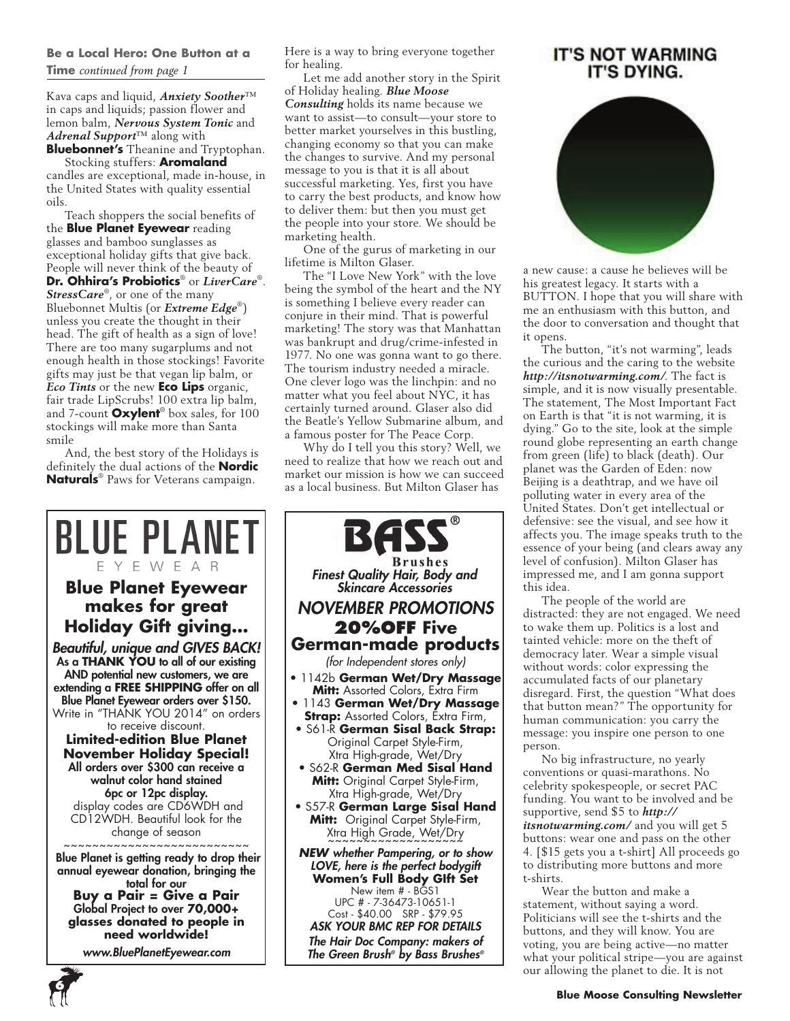## **Be a Local Hero: One Button at a Time** *continued from page 1*

Kava caps and liquid, *Anxiety Soother*™ in caps and liquids; passion flower and lemon balm, *Nervous System Tonic* and *Adrenal Support*™ along with **Bluebonnet's** Theanine and Tryptophan.

Stocking stuffers: **Aromaland**  candles are exceptional, made in-house, in the United States with quality essential oils.

Teach shoppers the social benefits of the **Blue Planet Eyewear** reading glasses and bamboo sunglasses as exceptional holiday gifts that give back. People will never think of the beauty of **Dr. Ohhira's Probiotics**® or *LiverCare*®. StressCare<sup>®</sup>, or one of the many Bluebonnet Multis (or *Extreme Edge*®) unless you create the thought in their head. The gift of health as a sign of love! There are too many sugarplums and not enough health in those stockings! Favorite gifts may just be that vegan lip balm, or *Eco Tints* or the new **Eco Lips** organic, fair trade LipScrubs! 100 extra lip balm, and 7-count **Oxylent**® box sales, for 100 stockings will make more than Santa smile

And, the best story of the Holidays is definitely the dual actions of the **Nordic Naturals**® Paws for Veterans campaign.

Here is a way to bring everyone together for healing.

Let me add another story in the Spirit of Holiday healing. *Blue Moose Consulting* holds its name because we want to assist—to consult—your store to better market yourselves in this bustling, changing economy so that you can make the changes to survive. And my personal message to you is that it is all about successful marketing. Yes, first you have to carry the best products, and know how to deliver them: but then you must get the people into your store. We should be marketing health.

One of the gurus of marketing in our lifetime is Milton Glaser.

The "I Love New York" with the love being the symbol of the heart and the NY is something I believe every reader can conjure in their mind. That is powerful marketing! The story was that Manhattan was bankrupt and drug/crime-infested in 1977. No one was gonna want to go there. The tourism industry needed a miracle. One clever logo was the linchpin: and no matter what you feel about NYC, it has certainly turned around. Glaser also did the Beatle's Yellow Submarine album, and a famous poster for The Peace Corp.

Why do I tell you this story? Well, we need to realize that how we reach out and market our mission is how we can succeed as a local business. But Milton Glaser has



BASS **Brushes** *Finest Quality Hair, Body and Skincare Accessories NOVEMBER PROMOTIONS* **20%OFF Five German-made products** *(for Independent stores only)* • 1142b **German Wet/Dry Massage Mitt:** Assorted Colors, Extra Firm • 1143 **German Wet/Dry Massage Strap:** Assorted Colors, Extra Firm, • S61-R **German Sisal Back Strap:** Original Carpet Style-Firm, Xtra High-grade, Wet/Dry • S62-R **German Med Sisal Hand Mitt:** Original Carpet Style-Firm, Xtra High-grade, Wet/Dry • S57-R **German Large Sisal Hand Mitt:** Original Carpet Style-Firm, Xtra High Grade, Wet/Dry ~~~~~~~~~~~~~~~~~~~ *NEW whether Pampering, or to show LOVE, here is the perfect bodygift* **Women's Full Body GIft Set** New item # - BGS1 UPC # - 7-36473-10651-1 Cost - \$40.00 SRP - \$79.95

*ASK YOUR BMC REP FOR DETAILS The Hair Doc Company: makers of The Green Brush® by Bass Brushes®*

## **IT'S NOT WARMING** IT'S DYING.



a new cause: a cause he believes will be his greatest legacy. It starts with a BUTTON. I hope that you will share with me an enthusiasm with this button, and the door to conversation and thought that it opens.

The button, "it's not warming", leads the curious and the caring to the website *http://itsnotwarming.com/*. The fact is simple, and it is now visually presentable. The statement, The Most Important Fact on Earth is that "it is not warming, it is dying." Go to the site, look at the simple round globe representing an earth change from green (life) to black (death). Our planet was the Garden of Eden: now Beijing is a deathtrap, and we have oil polluting water in every area of the United States. Don't get intellectual or defensive: see the visual, and see how it affects you. The image speaks truth to the essence of your being (and clears away any level of confusion). Milton Glaser has impressed me, and I am gonna support this idea.

The people of the world are distracted: they are not engaged. We need to wake them up. Politics is a lost and tainted vehicle: more on the theft of democracy later. Wear a simple visual without words: color expressing the accumulated facts of our planetary disregard. First, the question "What does that button mean?" The opportunity for human communication: you carry the message: you inspire one person to one person.

No big infrastructure, no yearly conventions or quasi-marathons. No celebrity spokespeople, or secret PAC funding. You want to be involved and be supportive, send \$5 to *http:// itsnotwarming.com/* and you will get 5 buttons: wear one and pass on the other 4. [\$15 gets you a t-shirt] All proceeds go to distributing more buttons and more t-shirts.

Wear the button and make a statement, without saying a word. Politicians will see the t-shirts and the buttons, and they will know. You are voting, you are being active—no matter what your political stripe—you are against our allowing the planet to die. It is not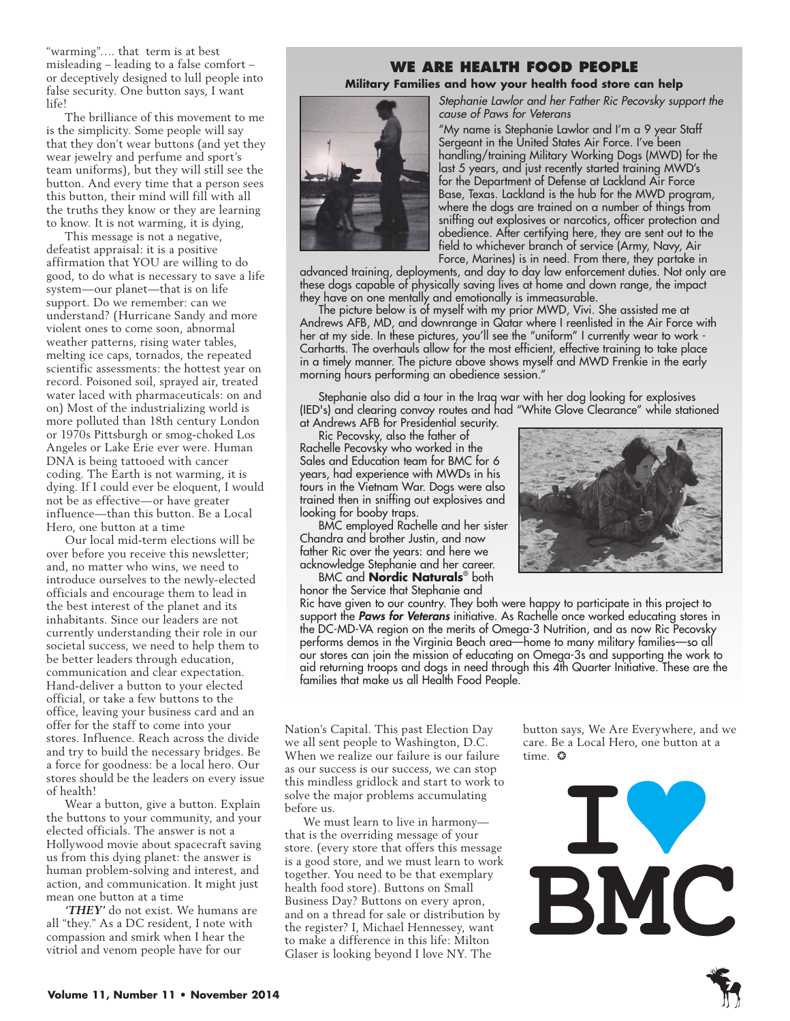"warming"…. that term is at best misleading – leading to a false comfort – or deceptively designed to lull people into false security. One button says, I want life!

The brilliance of this movement to me is the simplicity. Some people will say that they don't wear buttons (and yet they wear jewelry and perfume and sport's team uniforms), but they will still see the button. And every time that a person sees this button, their mind will fill with all the truths they know or they are learning to know. It is not warming, it is dying,

This message is not a negative, defeatist appraisal: it is a positive affirmation that YOU are willing to do good, to do what is necessary to save a life system—our planet—that is on life support. Do we remember: can we understand? (Hurricane Sandy and more violent ones to come soon, abnormal weather patterns, rising water tables, melting ice caps, tornados, the repeated scientific assessments: the hottest year on record. Poisoned soil, sprayed air, treated water laced with pharmaceuticals: on and on) Most of the industrializing world is more polluted than 18th century London or 1970s Pittsburgh or smog-choked Los Angeles or Lake Erie ever were. Human DNA is being tattooed with cancer coding. The Earth is not warming, it is dying. If I could ever be eloquent, I would not be as effective—or have greater influence—than this button. Be a Local Hero, one button at a time

Our local mid-term elections will be over before you receive this newsletter; and, no matter who wins, we need to introduce ourselves to the newly-elected officials and encourage them to lead in the best interest of the planet and its inhabitants. Since our leaders are not currently understanding their role in our societal success, we need to help them to be better leaders through education, communication and clear expectation. Hand-deliver a button to your elected official, or take a few buttons to the office, leaving your business card and an offer for the staff to come into your stores. Influence. Reach across the divide and try to build the necessary bridges. Be a force for goodness: be a local hero. Our stores should be the leaders on every issue of health!

Wear a button, give a button. Explain the buttons to your community, and your elected officials. The answer is not a Hollywood movie about spacecraft saving us from this dying planet: the answer is human problem-solving and interest, and action, and communication. It might just mean one button at a time

*'THEY'* do not exist. We humans are all "they." As a DC resident, I note with compassion and smirk when I hear the vitriol and venom people have for our

# **We Are Health Food People**

**Military Families and how your health food store can help** *Stephanie Lawlor and her Father Ric Pecovsky support the* 



*cause of Paws for Veterans* "My name is Stephanie Lawlor and I'm a 9 year Staff Sergeant in the United States Air Force. I've been handling/training Military Working Dogs (MWD) for the last 5 years, and just recently started training MWD's for the Department of Defense at Lackland Air Force Base, Texas. Lackland is the hub for the MWD program, where the dogs are trained on a number of things from sniffing out explosives or narcotics, officer protection and obedience. After certifying here, they are sent out to the field to whichever branch of service (Army, Navy, Air

Force, Marines) is in need. From there, they partake in

advanced training, deployments, and day to day law enforcement duties. Not only are these dogs capable of physically saving lives at home and down range, the impact they have on one mentally and emotionally is immeasurable.

The picture below is of myself with my prior MWD, Vivi. She assisted me at Andrews AFB, MD, and downrange in Qatar where I reenlisted in the Air Force with her at my side. In these pictures, you'll see the "uniform" I currently wear to work - Carhartts. The overhauls allow for the most efficient, effective training to take place in a timely manner. The picture above shows myself and MWD Frenkie in the early morning hours performing an obedience session."

Stephanie also did a tour in the Iraq war with her dog looking for explosives (IED's) and clearing convoy routes and had "White Glove Clearance" while stationed at Andrews AFB for Presidential security.

Ric Pecovsky, also the father of Rachelle Pecovsky who worked in the

Sales and Education team for BMC for 6 years, had experience with MWDs in his tours in the Vietnam War. Dogs were also trained then in sniffing out explosives and looking for booby traps.

BMC employed Rachelle and her sister Chandra and brother Justin, and now father Ric over the years: and here we acknowledge Stephanie and her career. BMC and **Nordic Naturals**® both



honor the Service that Stephanie and Ric have given to our country. They both were happy to participate in this project to support the *Paws for Veterans* initiative. As Rachelle once worked educating stores in the DC-MD-VA region on the merits of Omega-3 Nutrition, and as now Ric Pecovsky performs demos in the Virginia Beach area—home to many military families—so all our stores can join the mission of educating on Omega-3s and supporting the work to aid returning troops and dogs in need through this 4th Quarter Initiative. These are the families that make us all Health Food People.

Nation's Capital. This past Election Day we all sent people to Washington, D.C. When we realize our failure is our failure as our success is our success, we can stop this mindless gridlock and start to work to solve the major problems accumulating before us.

We must learn to live in harmony that is the overriding message of your store. (every store that offers this message is a good store, and we must learn to work together. You need to be that exemplary health food store). Buttons on Small Business Day? Buttons on every apron, and on a thread for sale or distribution by the register? I, Michael Hennessey, want to make a difference in this life: Milton Glaser is looking beyond I love NY. The

button says, We Are Everywhere, and we care. Be a Local Hero, one button at a time. ❂